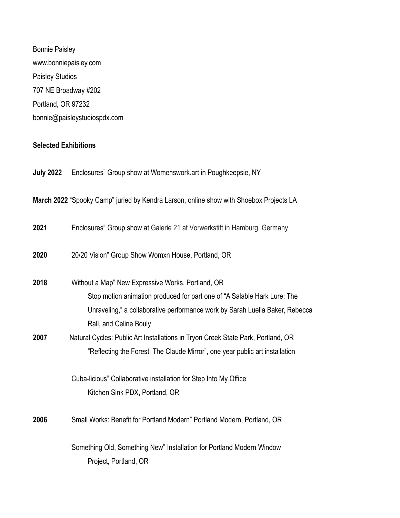Bonnie Paisley www.bonniepaisley.com Paisley Studios 707 NE Broadway #202 Portland, OR 97232 bonnie@paisleystudiospdx.com

## **Selected Exhibitions**

|      | <b>July 2022</b> "Enclosures" Group show at Womenswork art in Poughkeepsie, NY                         |
|------|--------------------------------------------------------------------------------------------------------|
|      | March 2022 "Spooky Camp" juried by Kendra Larson, online show with Shoebox Projects LA                 |
| 2021 | "Enclosures" Group show at Galerie 21 at Vorwerkstift in Hamburg, Germany                              |
| 2020 | "20/20 Vision" Group Show Womxn House, Portland, OR                                                    |
| 2018 | "Without a Map" New Expressive Works, Portland, OR                                                     |
|      | Stop motion animation produced for part one of "A Salable Hark Lure: The                               |
|      | Unraveling," a collaborative performance work by Sarah Luella Baker, Rebecca<br>Rall, and Celine Bouly |
| 2007 | Natural Cycles: Public Art Installations in Tryon Creek State Park, Portland, OR                       |
|      | "Reflecting the Forest: The Claude Mirror", one year public art installation                           |
|      | "Cuba-licious" Collaborative installation for Step Into My Office                                      |
|      | Kitchen Sink PDX, Portland, OR                                                                         |
| 2006 | "Small Works: Benefit for Portland Modern" Portland Modern, Portland, OR                               |
|      | "Something Old, Something New" Installation for Portland Modern Window<br>Project, Portland, OR        |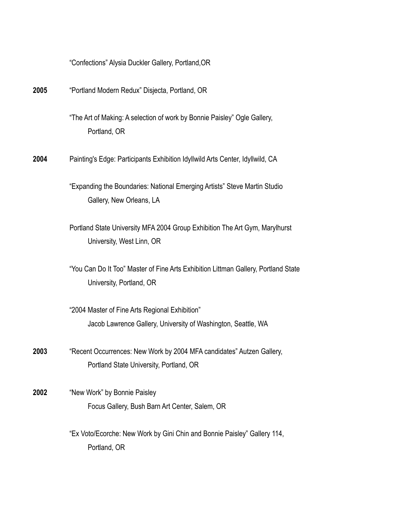|      | "Confections" Alysia Duckler Gallery, Portland, OR                                                               |
|------|------------------------------------------------------------------------------------------------------------------|
| 2005 | "Portland Modern Redux" Disjecta, Portland, OR                                                                   |
|      | "The Art of Making: A selection of work by Bonnie Paisley" Ogle Gallery,<br>Portland, OR                         |
| 2004 | Painting's Edge: Participants Exhibition Idyllwild Arts Center, Idyllwild, CA                                    |
|      | "Expanding the Boundaries: National Emerging Artists" Steve Martin Studio<br>Gallery, New Orleans, LA            |
|      | Portland State University MFA 2004 Group Exhibition The Art Gym, Marylhurst<br>University, West Linn, OR         |
|      | "You Can Do It Too" Master of Fine Arts Exhibition Littman Gallery, Portland State<br>University, Portland, OR   |
|      | "2004 Master of Fine Arts Regional Exhibition"<br>Jacob Lawrence Gallery, University of Washington, Seattle, WA  |
| 2003 | "Recent Occurrences: New Work by 2004 MFA candidates" Autzen Gallery,<br>Portland State University, Portland, OR |
| 2002 | "New Work" by Bonnie Paisley<br>Focus Gallery, Bush Barn Art Center, Salem, OR                                   |
|      | "Ex Voto/Ecorche: New Work by Gini Chin and Bonnie Paisley" Gallery 114,<br>Portland, OR                         |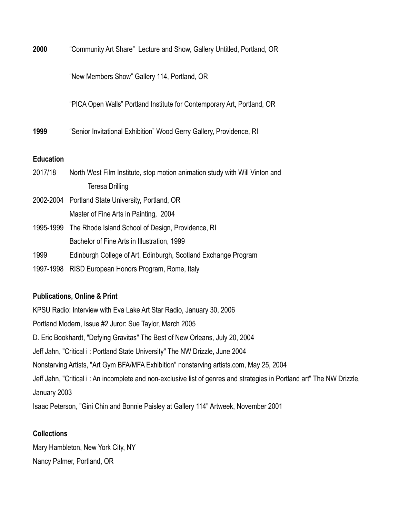**2000** "Community Art Share" Lecture and Show, Gallery Untitled, Portland, OR

"New Members Show" Gallery 114, Portland, OR

"PICA Open Walls" Portland Institute for Contemporary Art, Portland, OR

**1999** "Senior Invitational Exhibition" Wood Gerry Gallery, Providence, RI

### **Education**

| 2017/18   | North West Film Institute, stop motion animation study with Will Vinton and |
|-----------|-----------------------------------------------------------------------------|
|           | Teresa Drilling                                                             |
|           | 2002-2004 Portland State University, Portland, OR                           |
|           | Master of Fine Arts in Painting, 2004                                       |
|           | 1995-1999 The Rhode Island School of Design, Providence, RI                 |
|           | Bachelor of Fine Arts in Illustration, 1999                                 |
| 1999      | Edinburgh College of Art, Edinburgh, Scotland Exchange Program              |
| 1997-1998 | RISD European Honors Program, Rome, Italy                                   |

#### **Publications, Online & Print**

KPSU Radio: Interview with Eva Lake Art Star Radio, January 30, 2006 Portland Modern, Issue #2 Juror: Sue Taylor, March 2005 D. Eric Bookhardt, "Defying Gravitas" The Best of New Orleans, July 20, 2004 Jeff Jahn, "Critical i : Portland State University" The NW Drizzle, June 2004 Nonstarving Artists, "Art Gym BFA/MFA Exhibition" nonstarving artists.com, May 25, 2004 Jeff Jahn, "Critical i : An incomplete and non-exclusive list of genres and strategies in Portland art" The NW Drizzle, January 2003 Isaac Peterson, "Gini Chin and Bonnie Paisley at Gallery 114" Artweek, November 2001

#### **Collections**

Mary Hambleton, New York City, NY Nancy Palmer, Portland, OR